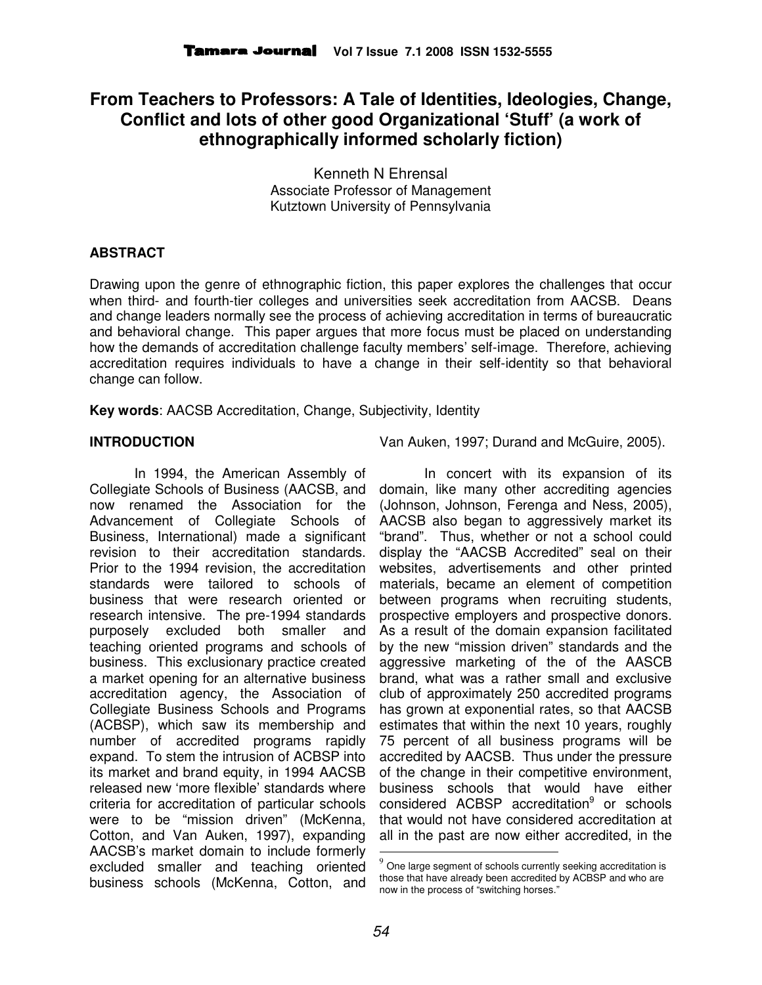# **From Teachers to Professors: A Tale of Identities, Ideologies, Change, Conflict and lots of other good Organizational 'Stuff' (a work of ethnographically informed scholarly fiction)**

Kenneth N Ehrensal Associate Professor of Management Kutztown University of Pennsylvania

## **ABSTRACT**

Drawing upon the genre of ethnographic fiction, this paper explores the challenges that occur when third- and fourth-tier colleges and universities seek accreditation from AACSB. Deans and change leaders normally see the process of achieving accreditation in terms of bureaucratic and behavioral change. This paper argues that more focus must be placed on understanding how the demands of accreditation challenge faculty members' self-image. Therefore, achieving accreditation requires individuals to have a change in their self-identity so that behavioral change can follow.

**Key words**: AACSB Accreditation, Change, Subjectivity, Identity

### **INTRODUCTION**

In 1994, the American Assembly of Collegiate Schools of Business (AACSB, and now renamed the Association for the Advancement of Collegiate Schools of Business, International) made a significant revision to their accreditation standards. Prior to the 1994 revision, the accreditation standards were tailored to schools of business that were research oriented or research intensive. The pre-1994 standards purposely excluded both smaller and teaching oriented programs and schools of business. This exclusionary practice created a market opening for an alternative business accreditation agency, the Association of Collegiate Business Schools and Programs (ACBSP), which saw its membership and number of accredited programs rapidly expand. To stem the intrusion of ACBSP into its market and brand equity, in 1994 AACSB released new 'more flexible' standards where criteria for accreditation of particular schools were to be "mission driven" (McKenna, Cotton, and Van Auken, 1997), expanding AACSB's market domain to include formerly excluded smaller and teaching oriented business schools (McKenna, Cotton, and

Van Auken, 1997; Durand and McGuire, 2005).

In concert with its expansion of its domain, like many other accrediting agencies (Johnson, Johnson, Ferenga and Ness, 2005), AACSB also began to aggressively market its "brand". Thus, whether or not a school could display the "AACSB Accredited" seal on their websites, advertisements and other printed materials, became an element of competition between programs when recruiting students, prospective employers and prospective donors. As a result of the domain expansion facilitated by the new "mission driven" standards and the aggressive marketing of the of the AASCB brand, what was a rather small and exclusive club of approximately 250 accredited programs has grown at exponential rates, so that AACSB estimates that within the next 10 years, roughly 75 percent of all business programs will be accredited by AACSB. Thus under the pressure of the change in their competitive environment, business schools that would have either considered ACBSP accreditation<sup>9</sup> or schools that would not have considered accreditation at all in the past are now either accredited, in the

l

One large segment of schools currently seeking accreditation is those that have already been accredited by ACBSP and who are now in the process of "switching horses."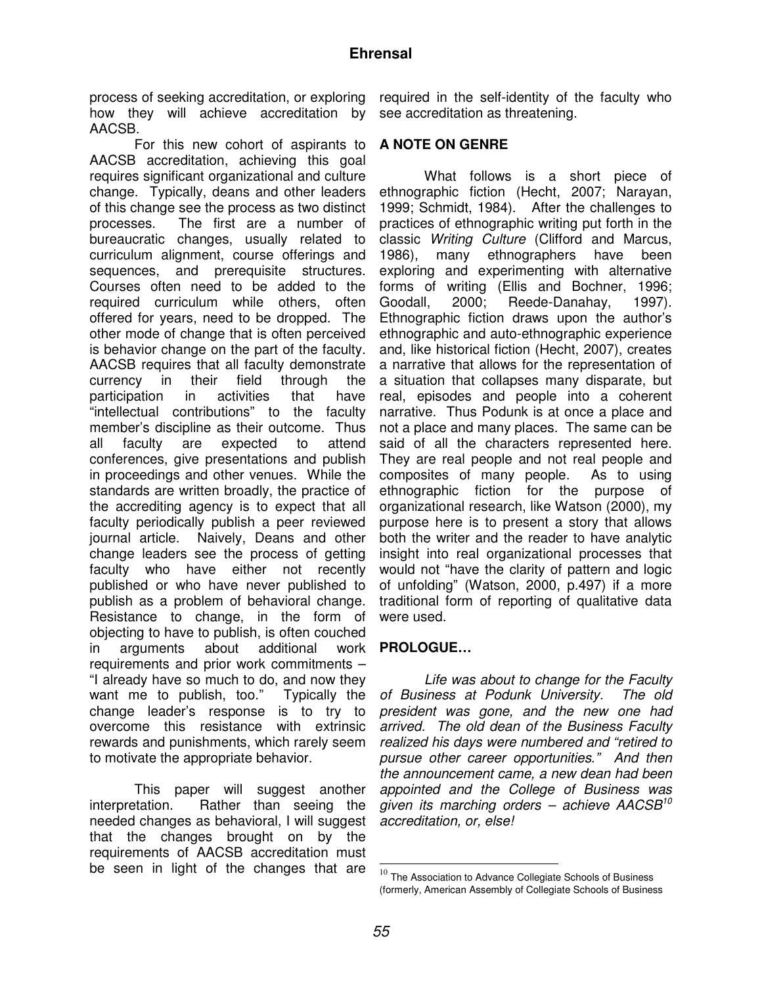process of seeking accreditation, or exploring how they will achieve accreditation by AACSB.

For this new cohort of aspirants to AACSB accreditation, achieving this goal requires significant organizational and culture change. Typically, deans and other leaders of this change see the process as two distinct processes. The first are a number of bureaucratic changes, usually related to curriculum alignment, course offerings and sequences, and prerequisite structures. Courses often need to be added to the required curriculum while others, often offered for years, need to be dropped. The other mode of change that is often perceived is behavior change on the part of the faculty. AACSB requires that all faculty demonstrate currency in their field through the participation in activities that have "intellectual contributions" to the faculty member's discipline as their outcome. Thus all faculty are expected to attend conferences, give presentations and publish in proceedings and other venues. While the standards are written broadly, the practice of the accrediting agency is to expect that all faculty periodically publish a peer reviewed journal article. Naively, Deans and other change leaders see the process of getting faculty who have either not recently published or who have never published to publish as a problem of behavioral change. Resistance to change, in the form of objecting to have to publish, is often couched in arguments about additional requirements and prior work commitments – "I already have so much to do, and now they want me to publish, too." Typically the change leader's response is to try to overcome this resistance with extrinsic rewards and punishments, which rarely seem to motivate the appropriate behavior.

This paper will suggest another interpretation. Rather than seeing the needed changes as behavioral, I will suggest that the changes brought on by the requirements of AACSB accreditation must be seen in light of the changes that are

required in the self-identity of the faculty who see accreditation as threatening.

### **A NOTE ON GENRE**

What follows is a short piece of ethnographic fiction (Hecht, 2007; Narayan, 1999; Schmidt, 1984). After the challenges to practices of ethnographic writing put forth in the classic Writing Culture (Clifford and Marcus, 1986), many ethnographers have been exploring and experimenting with alternative forms of writing (Ellis and Bochner, 1996; Goodall, 2000; Reede-Danahay, 1997). Ethnographic fiction draws upon the author's ethnographic and auto-ethnographic experience and, like historical fiction (Hecht, 2007), creates a narrative that allows for the representation of a situation that collapses many disparate, but real, episodes and people into a coherent narrative. Thus Podunk is at once a place and not a place and many places. The same can be said of all the characters represented here. They are real people and not real people and composites of many people. As to using ethnographic fiction for the purpose of organizational research, like Watson (2000), my purpose here is to present a story that allows both the writer and the reader to have analytic insight into real organizational processes that would not "have the clarity of pattern and logic of unfolding" (Watson, 2000, p.497) if a more traditional form of reporting of qualitative data were used.

# **PROLOGUE…**

Life was about to change for the Faculty of Business at Podunk University. The old president was gone, and the new one had arrived. The old dean of the Business Faculty realized his days were numbered and "retired to pursue other career opportunities." And then the announcement came, a new dean had been appointed and the College of Business was given its marching orders – achieve  $AACSB^{10}$ accreditation, or, else!

L

 $^{10}$  The Association to Advance Collegiate Schools of Business (formerly, American Assembly of Collegiate Schools of Business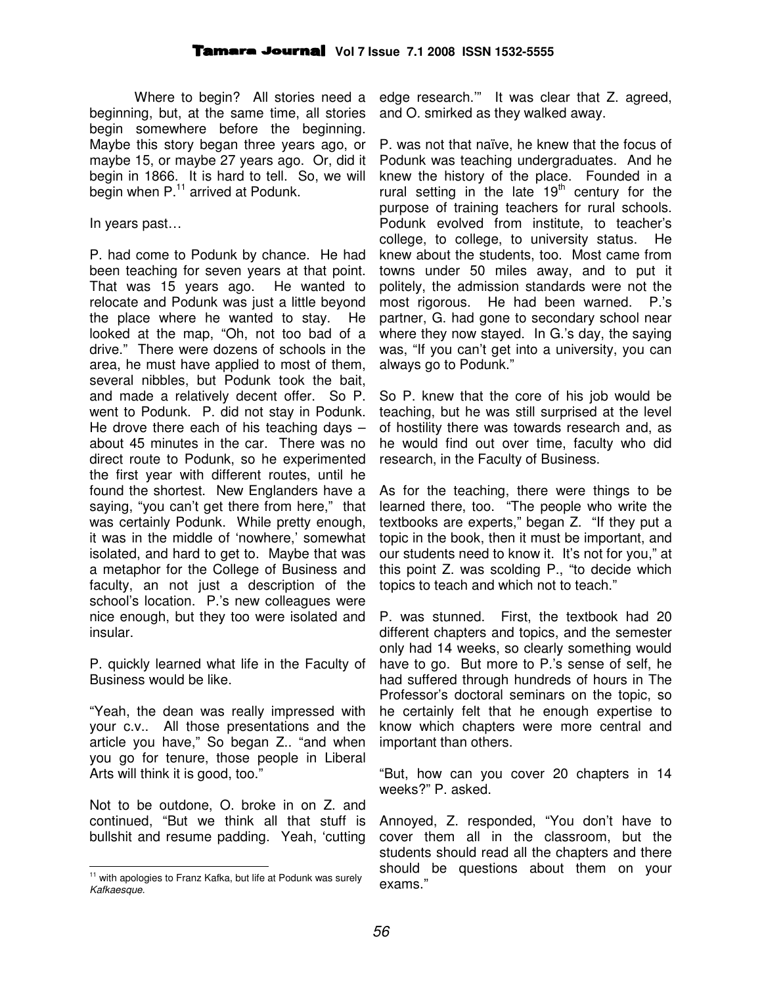Where to begin? All stories need a beginning, but, at the same time, all stories begin somewhere before the beginning. Maybe this story began three years ago, or maybe 15, or maybe 27 years ago. Or, did it begin in 1866. It is hard to tell. So, we will begin when P.<sup>11</sup> arrived at Podunk.

In years past…

P. had come to Podunk by chance. He had been teaching for seven years at that point. That was 15 years ago. He wanted to relocate and Podunk was just a little beyond the place where he wanted to stay. He looked at the map, "Oh, not too bad of a drive." There were dozens of schools in the area, he must have applied to most of them, several nibbles, but Podunk took the bait, and made a relatively decent offer. So P. went to Podunk. P. did not stay in Podunk. He drove there each of his teaching days  $$ about 45 minutes in the car. There was no direct route to Podunk, so he experimented the first year with different routes, until he found the shortest. New Englanders have a saying, "you can't get there from here," that was certainly Podunk. While pretty enough, it was in the middle of 'nowhere,' somewhat isolated, and hard to get to. Maybe that was a metaphor for the College of Business and faculty, an not just a description of the school's location. P.'s new colleagues were nice enough, but they too were isolated and insular.

P. quickly learned what life in the Faculty of Business would be like.

"Yeah, the dean was really impressed with your c.v.. All those presentations and the article you have," So began Z.. "and when you go for tenure, those people in Liberal Arts will think it is good, too."

Not to be outdone, O. broke in on Z. and continued, "But we think all that stuff is bullshit and resume padding. Yeah, 'cutting

L

edge research.'" It was clear that Z. agreed, and O. smirked as they walked away.

P. was not that naïve, he knew that the focus of Podunk was teaching undergraduates. And he knew the history of the place. Founded in a rural setting in the late  $19<sup>th</sup>$  century for the purpose of training teachers for rural schools. Podunk evolved from institute, to teacher's college, to college, to university status. He knew about the students, too. Most came from towns under 50 miles away, and to put it politely, the admission standards were not the most rigorous. He had been warned. P.'s partner, G. had gone to secondary school near where they now stayed. In G.'s day, the saying was, "If you can't get into a university, you can always go to Podunk."

So P. knew that the core of his job would be teaching, but he was still surprised at the level of hostility there was towards research and, as he would find out over time, faculty who did research, in the Faculty of Business.

As for the teaching, there were things to be learned there, too. "The people who write the textbooks are experts," began Z. "If they put a topic in the book, then it must be important, and our students need to know it. It's not for you," at this point Z. was scolding P., "to decide which topics to teach and which not to teach."

P. was stunned. First, the textbook had 20 different chapters and topics, and the semester only had 14 weeks, so clearly something would have to go. But more to P.'s sense of self, he had suffered through hundreds of hours in The Professor's doctoral seminars on the topic, so he certainly felt that he enough expertise to know which chapters were more central and important than others.

"But, how can you cover 20 chapters in 14 weeks?" P. asked.

Annoyed, Z. responded, "You don't have to cover them all in the classroom, but the students should read all the chapters and there should be questions about them on your exams."

<sup>&</sup>lt;sup>11</sup> with apologies to Franz Kafka, but life at Podunk was surely Kafkaesque.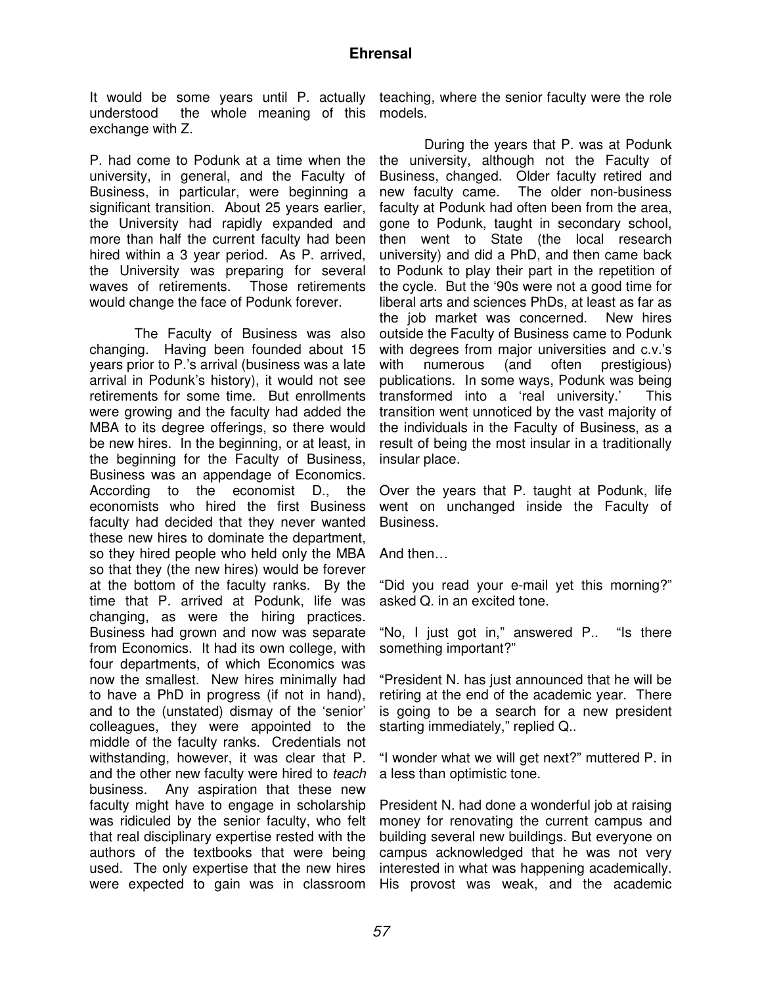It would be some years until P. actually understood the whole meaning of this exchange with Z.

P. had come to Podunk at a time when the university, in general, and the Faculty of Business, in particular, were beginning a significant transition. About 25 years earlier, the University had rapidly expanded and more than half the current faculty had been hired within a 3 year period. As P. arrived, the University was preparing for several waves of retirements. Those retirements would change the face of Podunk forever.

The Faculty of Business was also changing. Having been founded about 15 years prior to P.'s arrival (business was a late arrival in Podunk's history), it would not see retirements for some time. But enrollments were growing and the faculty had added the MBA to its degree offerings, so there would be new hires. In the beginning, or at least, in the beginning for the Faculty of Business, Business was an appendage of Economics. According to the economist D., the economists who hired the first Business faculty had decided that they never wanted these new hires to dominate the department, so they hired people who held only the MBA so that they (the new hires) would be forever at the bottom of the faculty ranks. By the time that P. arrived at Podunk, life was changing, as were the hiring practices. Business had grown and now was separate from Economics. It had its own college, with four departments, of which Economics was now the smallest. New hires minimally had to have a PhD in progress (if not in hand), and to the (unstated) dismay of the 'senior' colleagues, they were appointed to the middle of the faculty ranks. Credentials not withstanding, however, it was clear that P. and the other new faculty were hired to teach business. Any aspiration that these new faculty might have to engage in scholarship was ridiculed by the senior faculty, who felt that real disciplinary expertise rested with the authors of the textbooks that were being used. The only expertise that the new hires were expected to gain was in classroom

teaching, where the senior faculty were the role models.

During the years that P. was at Podunk the university, although not the Faculty of Business, changed. Older faculty retired and new faculty came. The older non-business faculty at Podunk had often been from the area, gone to Podunk, taught in secondary school, then went to State (the local research university) and did a PhD, and then came back to Podunk to play their part in the repetition of the cycle. But the '90s were not a good time for liberal arts and sciences PhDs, at least as far as the job market was concerned. New hires outside the Faculty of Business came to Podunk with degrees from major universities and c.v.'s with numerous (and often prestigious) publications. In some ways, Podunk was being transformed into a 'real university.' This transition went unnoticed by the vast majority of the individuals in the Faculty of Business, as a result of being the most insular in a traditionally insular place.

Over the years that P. taught at Podunk, life went on unchanged inside the Faculty of Business.

And then…

"Did you read your e-mail yet this morning?" asked Q. in an excited tone.

"No, I just got in," answered P.. "Is there something important?"

"President N. has just announced that he will be retiring at the end of the academic year. There is going to be a search for a new president starting immediately," replied Q..

"I wonder what we will get next?" muttered P. in a less than optimistic tone.

President N. had done a wonderful job at raising money for renovating the current campus and building several new buildings. But everyone on campus acknowledged that he was not very interested in what was happening academically. His provost was weak, and the academic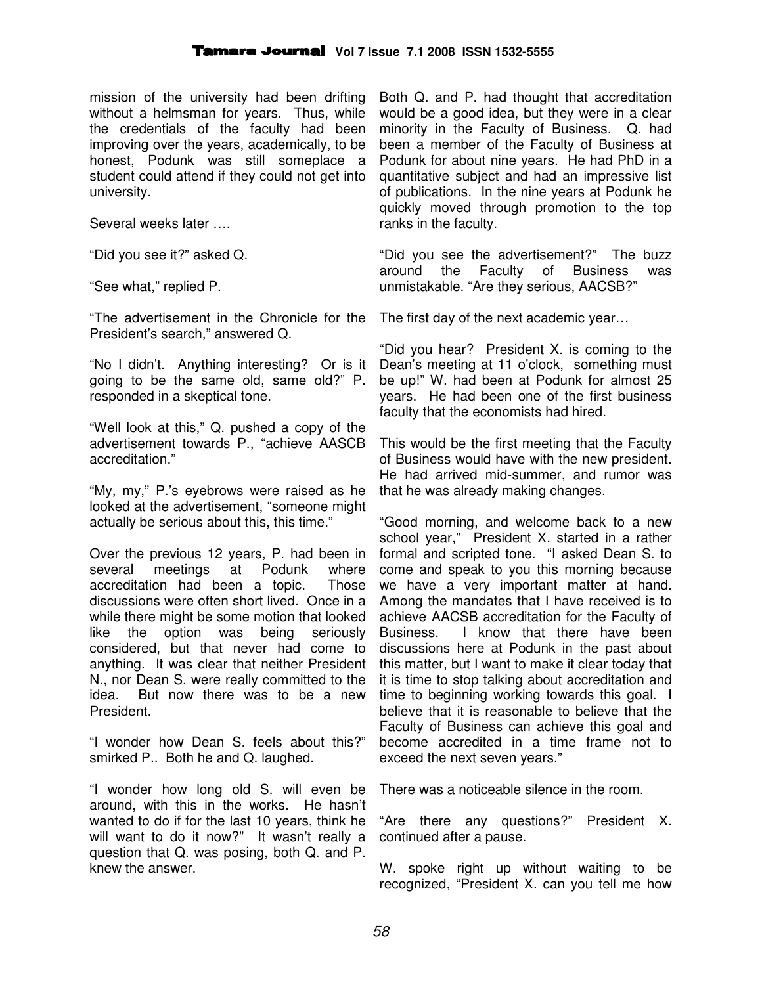mission of the university had been drifting without a helmsman for years. Thus, while the credentials of the faculty had been improving over the years, academically, to be honest, Podunk was still someplace a student could attend if they could not get into university.

Several weeks later ….

"Did you see it?" asked Q.

"See what," replied P.

"The advertisement in the Chronicle for the President's search," answered Q.

"No I didn't. Anything interesting? Or is it going to be the same old, same old?" P. responded in a skeptical tone.

"Well look at this," Q. pushed a copy of the advertisement towards P., "achieve AASCB accreditation."

"My, my," P.'s eyebrows were raised as he looked at the advertisement, "someone might actually be serious about this, this time."

Over the previous 12 years, P. had been in several meetings at Podunk where accreditation had been a topic. Those discussions were often short lived. Once in a while there might be some motion that looked like the option was being seriously considered, but that never had come to anything. It was clear that neither President N., nor Dean S. were really committed to the idea. But now there was to be a new President.

"I wonder how Dean S. feels about this?" smirked P.. Both he and Q. laughed.

"I wonder how long old S. will even be around, with this in the works. He hasn't wanted to do if for the last 10 years, think he will want to do it now?" It wasn't really a question that Q. was posing, both Q. and P. knew the answer.

Both Q. and P. had thought that accreditation would be a good idea, but they were in a clear minority in the Faculty of Business. Q. had been a member of the Faculty of Business at Podunk for about nine years. He had PhD in a quantitative subject and had an impressive list of publications. In the nine years at Podunk he quickly moved through promotion to the top ranks in the faculty.

"Did you see the advertisement?" The buzz around the Faculty of Business was unmistakable. "Are they serious, AACSB?"

The first day of the next academic year…

"Did you hear? President X. is coming to the Dean's meeting at 11 o'clock, something must be up!" W. had been at Podunk for almost 25 years. He had been one of the first business faculty that the economists had hired.

This would be the first meeting that the Faculty of Business would have with the new president. He had arrived mid-summer, and rumor was that he was already making changes.

"Good morning, and welcome back to a new school year," President X. started in a rather formal and scripted tone. "I asked Dean S. to come and speak to you this morning because we have a very important matter at hand. Among the mandates that I have received is to achieve AACSB accreditation for the Faculty of Business. I know that there have been discussions here at Podunk in the past about this matter, but I want to make it clear today that it is time to stop talking about accreditation and time to beginning working towards this goal. I believe that it is reasonable to believe that the Faculty of Business can achieve this goal and become accredited in a time frame not to exceed the next seven years."

There was a noticeable silence in the room.

"Are there any questions?" President X. continued after a pause.

W. spoke right up without waiting to be recognized, "President X. can you tell me how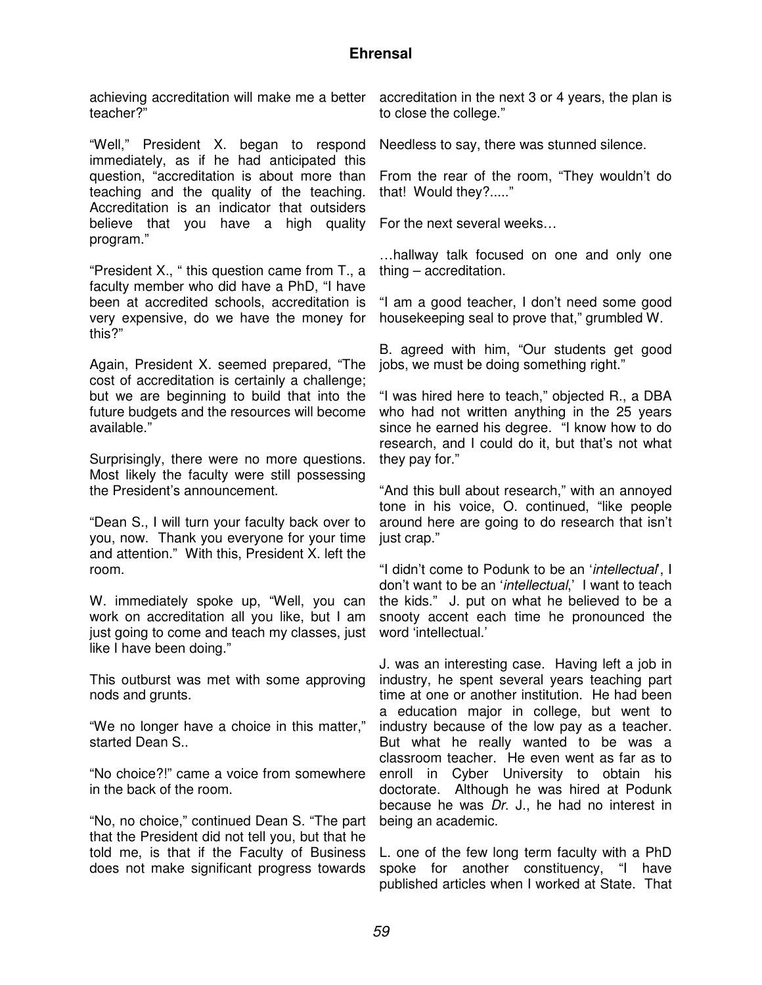# **Ehrensal**

teacher?"

"Well," President X. began to respond immediately, as if he had anticipated this question, "accreditation is about more than teaching and the quality of the teaching. Accreditation is an indicator that outsiders believe that you have a high quality program."

"President X., " this question came from T., a faculty member who did have a PhD, "I have been at accredited schools, accreditation is very expensive, do we have the money for this?"

Again, President X. seemed prepared, "The cost of accreditation is certainly a challenge; but we are beginning to build that into the future budgets and the resources will become available."

Surprisingly, there were no more questions. Most likely the faculty were still possessing the President's announcement.

"Dean S., I will turn your faculty back over to you, now. Thank you everyone for your time and attention." With this, President X. left the room.

W. immediately spoke up, "Well, you can work on accreditation all you like, but I am just going to come and teach my classes, just like I have been doing."

This outburst was met with some approving nods and grunts.

"We no longer have a choice in this matter," started Dean S..

"No choice?!" came a voice from somewhere in the back of the room.

"No, no choice," continued Dean S. "The part that the President did not tell you, but that he told me, is that if the Faculty of Business does not make significant progress towards

achieving accreditation will make me a better accreditation in the next 3 or 4 years, the plan is to close the college."

Needless to say, there was stunned silence.

From the rear of the room, "They wouldn't do that! Would they?....."

For the next several weeks…

…hallway talk focused on one and only one thing – accreditation.

"I am a good teacher, I don't need some good housekeeping seal to prove that," grumbled W.

B. agreed with him, "Our students get good jobs, we must be doing something right."

"I was hired here to teach," objected R., a DBA who had not written anything in the 25 years since he earned his degree. "I know how to do research, and I could do it, but that's not what they pay for."

"And this bull about research," with an annoyed tone in his voice, O. continued, "like people around here are going to do research that isn't just crap."

"I didn't come to Podunk to be an 'intellectual', I don't want to be an 'intellectual,' I want to teach the kids." J. put on what he believed to be a snooty accent each time he pronounced the word 'intellectual.'

J. was an interesting case. Having left a job in industry, he spent several years teaching part time at one or another institution. He had been a education major in college, but went to industry because of the low pay as a teacher. But what he really wanted to be was a classroom teacher. He even went as far as to enroll in Cyber University to obtain his doctorate. Although he was hired at Podunk because he was Dr. J., he had no interest in being an academic.

L. one of the few long term faculty with a PhD spoke for another constituency, "I have published articles when I worked at State. That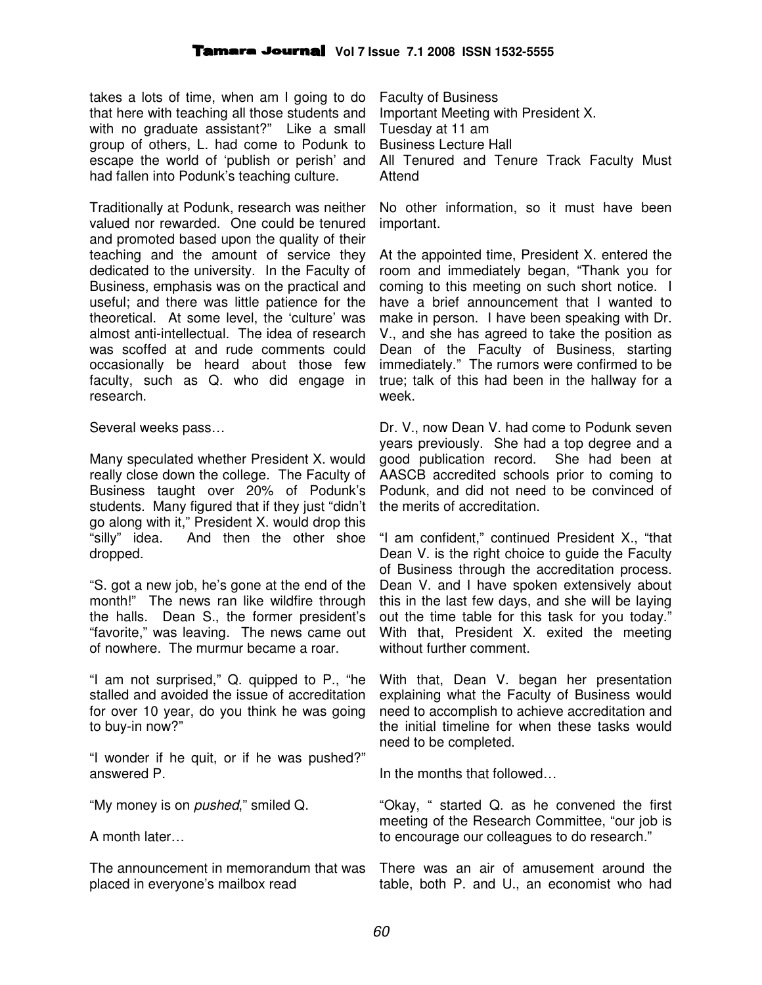takes a lots of time, when am I going to do that here with teaching all those students and with no graduate assistant?" Like a small group of others, L. had come to Podunk to escape the world of 'publish or perish' and had fallen into Podunk's teaching culture.

Traditionally at Podunk, research was neither valued nor rewarded. One could be tenured and promoted based upon the quality of their teaching and the amount of service they dedicated to the university. In the Faculty of Business, emphasis was on the practical and useful; and there was little patience for the theoretical. At some level, the 'culture' was almost anti-intellectual. The idea of research was scoffed at and rude comments could occasionally be heard about those few faculty, such as Q. who did engage in research.

Several weeks pass…

Many speculated whether President X. would really close down the college. The Faculty of Business taught over 20% of Podunk's students. Many figured that if they just "didn't go along with it," President X. would drop this "silly" idea. And then the other shoe dropped.

"S. got a new job, he's gone at the end of the month!" The news ran like wildfire through the halls. Dean S., the former president's "favorite," was leaving. The news came out of nowhere. The murmur became a roar.

"I am not surprised," Q. quipped to P., "he stalled and avoided the issue of accreditation for over 10 year, do you think he was going to buy-in now?"

"I wonder if he quit, or if he was pushed?" answered P.

"My money is on *pushed*," smiled Q.

A month later…

The announcement in memorandum that was placed in everyone's mailbox read

Faculty of Business Important Meeting with President X. Tuesday at 11 am Business Lecture Hall All Tenured and Tenure Track Faculty Must Attend

No other information, so it must have been important.

At the appointed time, President X. entered the room and immediately began, "Thank you for coming to this meeting on such short notice. I have a brief announcement that I wanted to make in person. I have been speaking with Dr. V., and she has agreed to take the position as Dean of the Faculty of Business, starting immediately." The rumors were confirmed to be true; talk of this had been in the hallway for a week.

Dr. V., now Dean V. had come to Podunk seven years previously. She had a top degree and a good publication record. She had been at AASCB accredited schools prior to coming to Podunk, and did not need to be convinced of the merits of accreditation.

"I am confident," continued President X., "that Dean V. is the right choice to guide the Faculty of Business through the accreditation process. Dean V. and I have spoken extensively about this in the last few days, and she will be laying out the time table for this task for you today." With that, President X. exited the meeting without further comment.

With that, Dean V. began her presentation explaining what the Faculty of Business would need to accomplish to achieve accreditation and the initial timeline for when these tasks would need to be completed.

In the months that followed…

"Okay, " started Q. as he convened the first meeting of the Research Committee, "our job is to encourage our colleagues to do research."

There was an air of amusement around the table, both P. and U., an economist who had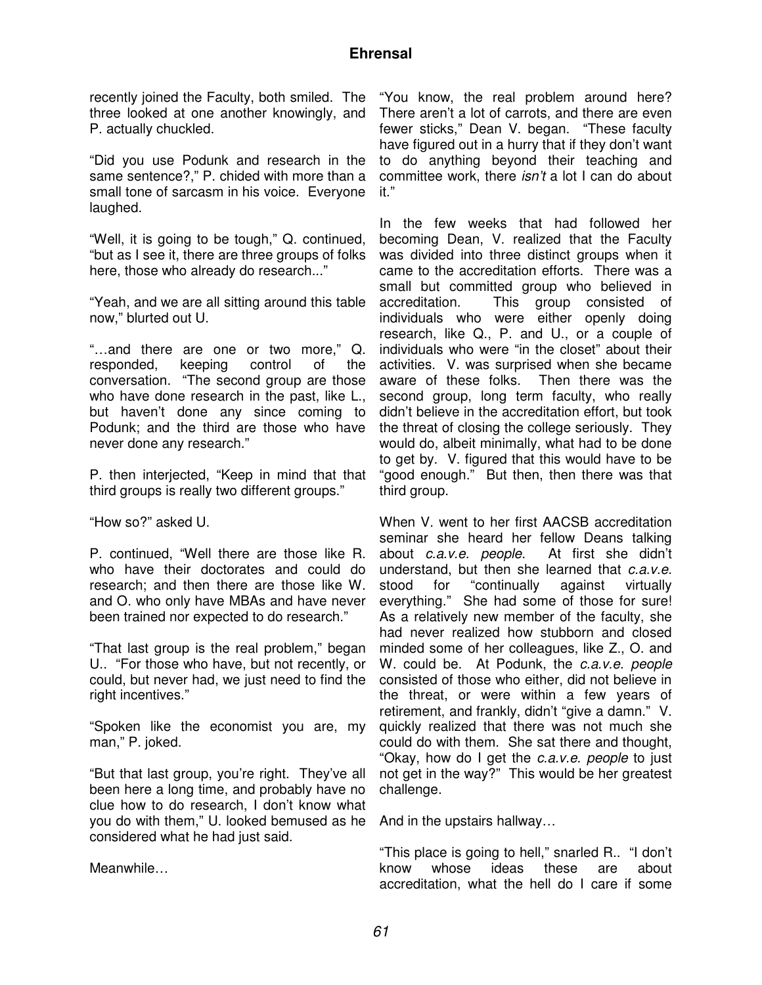recently joined the Faculty, both smiled. The three looked at one another knowingly, and P. actually chuckled.

"Did you use Podunk and research in the same sentence?," P. chided with more than a small tone of sarcasm in his voice. Everyone laughed.

"Well, it is going to be tough," Q. continued, "but as I see it, there are three groups of folks here, those who already do research..."

"Yeah, and we are all sitting around this table now," blurted out U.

"…and there are one or two more," Q. responded, keeping control of the conversation. "The second group are those who have done research in the past, like L., but haven't done any since coming to Podunk; and the third are those who have never done any research."

P. then interjected, "Keep in mind that that third groups is really two different groups."

"How so?" asked U.

P. continued, "Well there are those like R. who have their doctorates and could do research; and then there are those like W. and O. who only have MBAs and have never been trained nor expected to do research."

"That last group is the real problem," began U.. "For those who have, but not recently, or could, but never had, we just need to find the right incentives."

"Spoken like the economist you are, my man," P. joked.

"But that last group, you're right. They've all been here a long time, and probably have no clue how to do research, I don't know what you do with them," U. looked bemused as he considered what he had just said.

Meanwhile…

"You know, the real problem around here? There aren't a lot of carrots, and there are even fewer sticks," Dean V. began. "These faculty have figured out in a hurry that if they don't want to do anything beyond their teaching and committee work, there *isn't* a lot I can do about it."

In the few weeks that had followed her becoming Dean, V. realized that the Faculty was divided into three distinct groups when it came to the accreditation efforts. There was a small but committed group who believed in accreditation. This group consisted of individuals who were either openly doing research, like Q., P. and U., or a couple of individuals who were "in the closet" about their activities. V. was surprised when she became aware of these folks. Then there was the second group, long term faculty, who really didn't believe in the accreditation effort, but took the threat of closing the college seriously. They would do, albeit minimally, what had to be done to get by. V. figured that this would have to be "good enough." But then, then there was that third group.

When V. went to her first AACSB accreditation seminar she heard her fellow Deans talking about c.a.v.e. people. At first she didn't understand, but then she learned that c.a.v.e. stood for "continually against virtually everything." She had some of those for sure! As a relatively new member of the faculty, she had never realized how stubborn and closed minded some of her colleagues, like Z., O. and W. could be. At Podunk, the c.a.v.e. people consisted of those who either, did not believe in the threat, or were within a few years of retirement, and frankly, didn't "give a damn." V. quickly realized that there was not much she could do with them. She sat there and thought, "Okay, how do I get the c.a.v.e. people to just not get in the way?" This would be her greatest challenge.

And in the upstairs hallway…

"This place is going to hell," snarled R.. "I don't know whose ideas these are about accreditation, what the hell do I care if some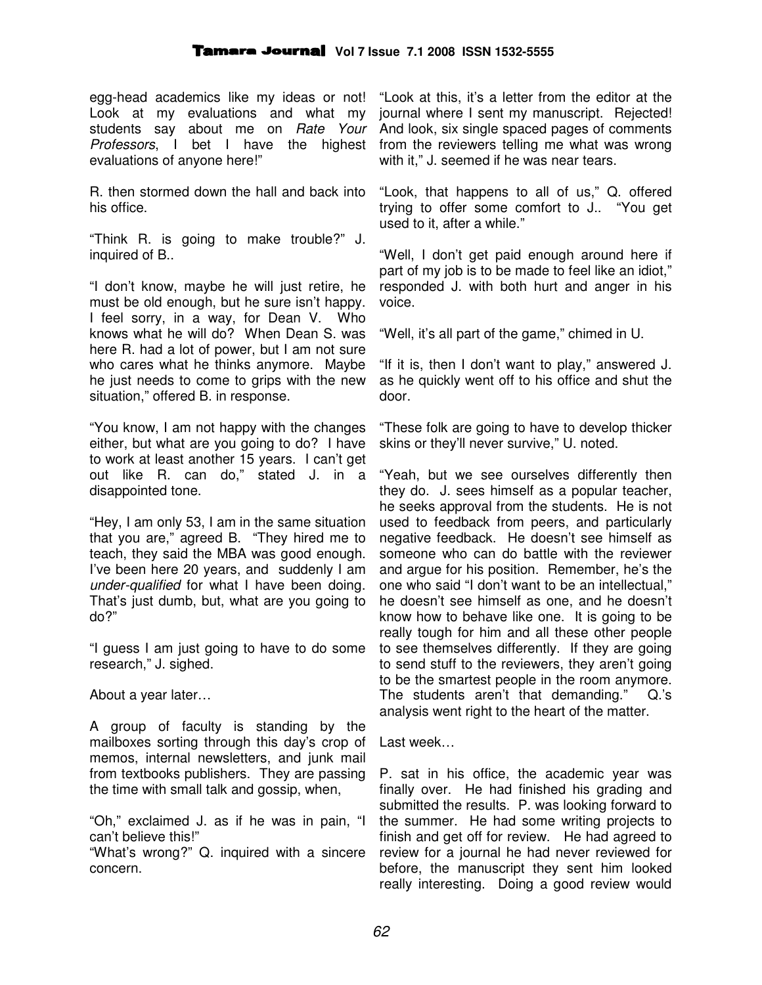egg-head academics like my ideas or not! Look at my evaluations and what my students say about me on Rate Your Professors, I bet I have the highest evaluations of anyone here!"

R. then stormed down the hall and back into his office.

"Think R. is going to make trouble?" J. inquired of B..

"I don't know, maybe he will just retire, he must be old enough, but he sure isn't happy. I feel sorry, in a way, for Dean V. Who knows what he will do? When Dean S. was here R. had a lot of power, but I am not sure who cares what he thinks anymore. Maybe he just needs to come to grips with the new situation," offered B. in response.

"You know, I am not happy with the changes either, but what are you going to do? I have to work at least another 15 years. I can't get out like R. can do," stated J. in a disappointed tone.

"Hey, I am only 53, I am in the same situation that you are," agreed B. "They hired me to teach, they said the MBA was good enough. I've been here 20 years, and suddenly I am under-qualified for what I have been doing. That's just dumb, but, what are you going to do?"

"I guess I am just going to have to do some research," J. sighed.

About a year later…

A group of faculty is standing by the mailboxes sorting through this day's crop of memos, internal newsletters, and junk mail from textbooks publishers. They are passing the time with small talk and gossip, when,

"Oh," exclaimed J. as if he was in pain, "I can't believe this!"

"What's wrong?" Q. inquired with a sincere concern.

"Look at this, it's a letter from the editor at the journal where I sent my manuscript. Rejected! And look, six single spaced pages of comments from the reviewers telling me what was wrong with it," J. seemed if he was near tears.

"Look, that happens to all of us," Q. offered trying to offer some comfort to J.. "You get used to it, after a while."

"Well, I don't get paid enough around here if part of my job is to be made to feel like an idiot," responded J. with both hurt and anger in his voice.

"Well, it's all part of the game," chimed in U.

"If it is, then I don't want to play," answered J. as he quickly went off to his office and shut the door.

"These folk are going to have to develop thicker skins or they'll never survive," U. noted.

"Yeah, but we see ourselves differently then they do. J. sees himself as a popular teacher, he seeks approval from the students. He is not used to feedback from peers, and particularly negative feedback. He doesn't see himself as someone who can do battle with the reviewer and argue for his position. Remember, he's the one who said "I don't want to be an intellectual," he doesn't see himself as one, and he doesn't know how to behave like one. It is going to be really tough for him and all these other people to see themselves differently. If they are going to send stuff to the reviewers, they aren't going to be the smartest people in the room anymore. The students aren't that demanding." Q.'s analysis went right to the heart of the matter.

Last week…

P. sat in his office, the academic year was finally over. He had finished his grading and submitted the results. P. was looking forward to the summer. He had some writing projects to finish and get off for review. He had agreed to review for a journal he had never reviewed for before, the manuscript they sent him looked really interesting. Doing a good review would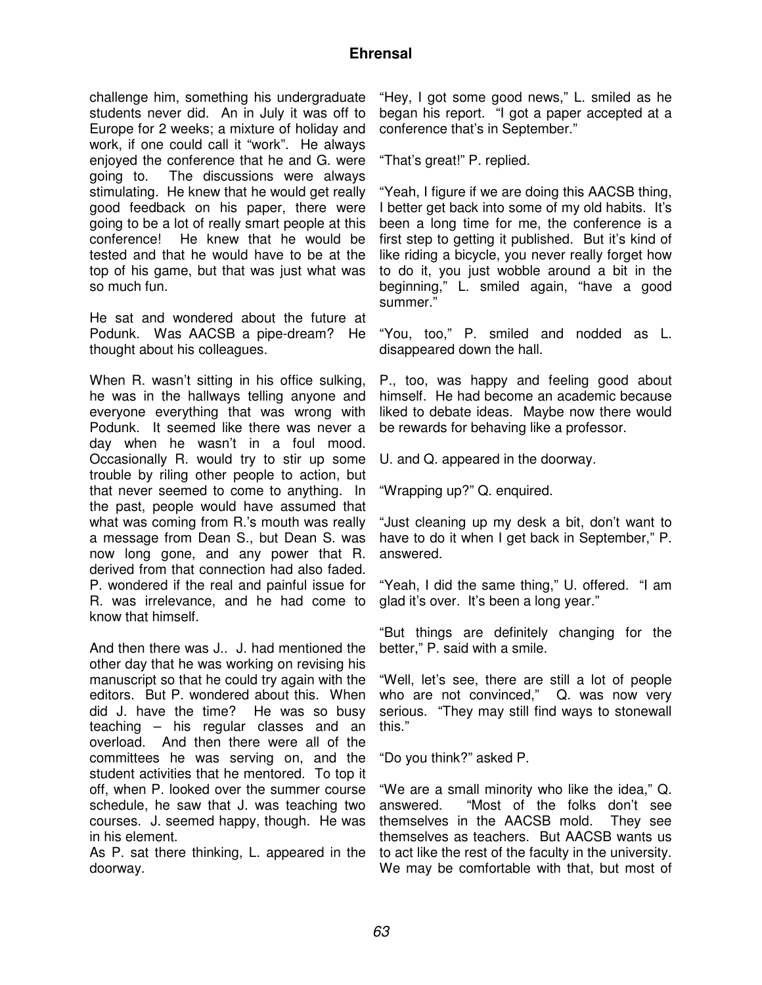## **Ehrensal**

challenge him, something his undergraduate students never did. An in July it was off to Europe for 2 weeks; a mixture of holiday and work, if one could call it "work". He always enjoyed the conference that he and G. were going to. The discussions were always stimulating. He knew that he would get really good feedback on his paper, there were going to be a lot of really smart people at this conference! He knew that he would be tested and that he would have to be at the top of his game, but that was just what was so much fun.

He sat and wondered about the future at Podunk. Was AACSB a pipe-dream? He thought about his colleagues.

When R. wasn't sitting in his office sulking, he was in the hallways telling anyone and everyone everything that was wrong with Podunk. It seemed like there was never a day when he wasn't in a foul mood. Occasionally R. would try to stir up some trouble by riling other people to action, but that never seemed to come to anything. In the past, people would have assumed that what was coming from R.'s mouth was really a message from Dean S., but Dean S. was now long gone, and any power that R. derived from that connection had also faded. P. wondered if the real and painful issue for R. was irrelevance, and he had come to know that himself.

And then there was J.. J. had mentioned the other day that he was working on revising his manuscript so that he could try again with the editors. But P. wondered about this. When did J. have the time? He was so busy teaching – his regular classes and an overload. And then there were all of the committees he was serving on, and the student activities that he mentored. To top it off, when P. looked over the summer course schedule, he saw that J. was teaching two courses. J. seemed happy, though. He was in his element.

As P. sat there thinking, L. appeared in the doorway.

"Hey, I got some good news," L. smiled as he began his report. "I got a paper accepted at a conference that's in September."

"That's great!" P. replied.

"Yeah, I figure if we are doing this AACSB thing, I better get back into some of my old habits. It's been a long time for me, the conference is a first step to getting it published. But it's kind of like riding a bicycle, you never really forget how to do it, you just wobble around a bit in the beginning," L. smiled again, "have a good summer."

"You, too," P. smiled and nodded as L. disappeared down the hall.

P., too, was happy and feeling good about himself. He had become an academic because liked to debate ideas. Maybe now there would be rewards for behaving like a professor.

U. and Q. appeared in the doorway.

"Wrapping up?" Q. enquired.

"Just cleaning up my desk a bit, don't want to have to do it when I get back in September," P. answered.

"Yeah, I did the same thing," U. offered. "I am glad it's over. It's been a long year."

"But things are definitely changing for the better," P. said with a smile.

"Well, let's see, there are still a lot of people who are not convinced," Q. was now very serious. "They may still find ways to stonewall this."

"Do you think?" asked P.

"We are a small minority who like the idea," Q. answered. "Most of the folks don't see themselves in the AACSB mold. They see themselves as teachers. But AACSB wants us to act like the rest of the faculty in the university. We may be comfortable with that, but most of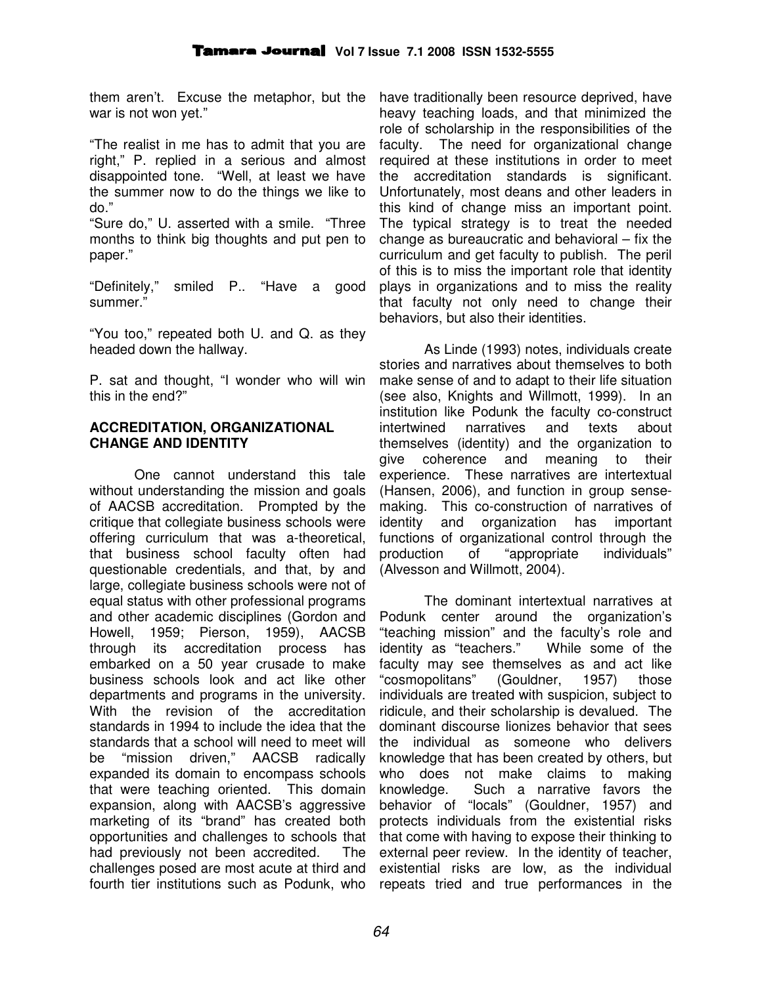them aren't. Excuse the metaphor, but the war is not won yet."

"The realist in me has to admit that you are right," P. replied in a serious and almost disappointed tone. "Well, at least we have the summer now to do the things we like to do."

"Sure do," U. asserted with a smile. "Three months to think big thoughts and put pen to paper."

"Definitely," smiled P.. "Have a good summer."

"You too," repeated both U. and Q. as they headed down the hallway.

P. sat and thought, "I wonder who will win this in the end?"

#### **ACCREDITATION, ORGANIZATIONAL CHANGE AND IDENTITY**

One cannot understand this tale without understanding the mission and goals of AACSB accreditation. Prompted by the critique that collegiate business schools were offering curriculum that was a-theoretical, that business school faculty often had questionable credentials, and that, by and large, collegiate business schools were not of equal status with other professional programs and other academic disciplines (Gordon and Howell, 1959; Pierson, 1959), AACSB through its accreditation process has embarked on a 50 year crusade to make business schools look and act like other departments and programs in the university. With the revision of the accreditation standards in 1994 to include the idea that the standards that a school will need to meet will be "mission driven," AACSB radically expanded its domain to encompass schools that were teaching oriented. This domain expansion, along with AACSB's aggressive marketing of its "brand" has created both opportunities and challenges to schools that had previously not been accredited. The challenges posed are most acute at third and fourth tier institutions such as Podunk, who

have traditionally been resource deprived, have heavy teaching loads, and that minimized the role of scholarship in the responsibilities of the faculty. The need for organizational change required at these institutions in order to meet the accreditation standards is significant. Unfortunately, most deans and other leaders in this kind of change miss an important point. The typical strategy is to treat the needed change as bureaucratic and behavioral – fix the curriculum and get faculty to publish. The peril of this is to miss the important role that identity plays in organizations and to miss the reality that faculty not only need to change their behaviors, but also their identities.

As Linde (1993) notes, individuals create stories and narratives about themselves to both make sense of and to adapt to their life situation (see also, Knights and Willmott, 1999). In an institution like Podunk the faculty co-construct intertwined narratives and texts about themselves (identity) and the organization to give coherence and meaning to their experience. These narratives are intertextual (Hansen, 2006), and function in group sensemaking. This co-construction of narratives of identity and organization has important functions of organizational control through the production of "appropriate individuals" (Alvesson and Willmott, 2004).

The dominant intertextual narratives at Podunk center around the organization's "teaching mission" and the faculty's role and identity as "teachers." While some of the faculty may see themselves as and act like "cosmopolitans" (Gouldner, 1957) those individuals are treated with suspicion, subject to ridicule, and their scholarship is devalued. The dominant discourse lionizes behavior that sees the individual as someone who delivers knowledge that has been created by others, but who does not make claims to making knowledge. Such a narrative favors the behavior of "locals" (Gouldner, 1957) and protects individuals from the existential risks that come with having to expose their thinking to external peer review. In the identity of teacher, existential risks are low, as the individual repeats tried and true performances in the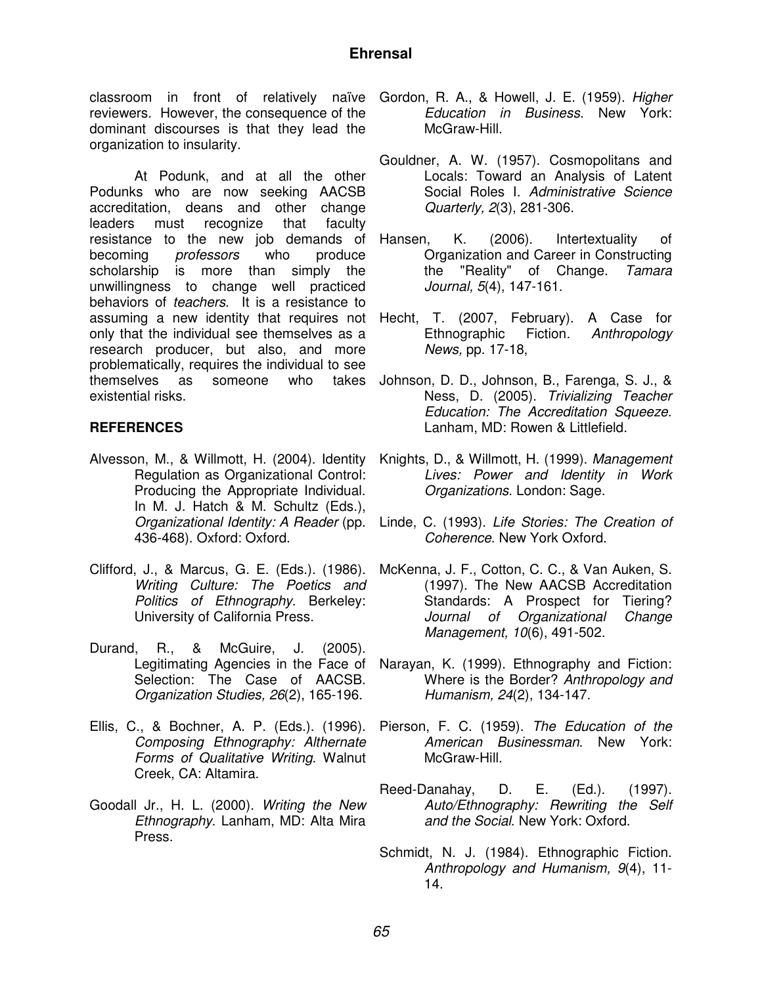reviewers. However, the consequence of the dominant discourses is that they lead the organization to insularity.

At Podunk, and at all the other Podunks who are now seeking AACSB accreditation, deans and other change leaders must recognize that faculty resistance to the new job demands of Hansen, becoming *professors* who produce scholarship is more than simply the unwillingness to change well practiced behaviors of teachers. It is a resistance to only that the individual see themselves as a research producer, but also, and more problematically, requires the individual to see themselves as someone who existential risks.

### **REFERENCES**

- Regulation as Organizational Control: Producing the Appropriate Individual. In M. J. Hatch & M. Schultz (Eds.), 436-468). Oxford: Oxford.
- Clifford, J., & Marcus, G. E. (Eds.). (1986). Writing Culture: The Poetics and Politics of Ethnography. Berkeley: University of California Press.
- Durand, R., & McGuire, J. (2005). Legitimating Agencies in the Face of Selection: The Case of AACSB. Organization Studies, 26(2), 165-196.
- Ellis, C., & Bochner, A. P. (Eds.). (1996). Composing Ethnography: Althernate Forms of Qualitative Writing. Walnut Creek, CA: Altamira.
- Goodall Jr., H. L. (2000). Writing the New Ethnography. Lanham, MD: Alta Mira Press.
- classroom in front of relatively naïve Gordon, R. A., & Howell, J. E. (1959). Higher Education in Business. New York: McGraw-Hill.
	- Gouldner, A. W. (1957). Cosmopolitans and Locals: Toward an Analysis of Latent Social Roles I. Administrative Science Quarterly, 2(3), 281-306.
	- K. (2006). Intertextuality of Organization and Career in Constructing the "Reality" of Change. Tamara Journal, 5(4), 147-161.
- assuming a new identity that requires not Hecht, T. (2007, February). A Case for Ethnographic Fiction. Anthropology News, pp. 17-18,
	- takes Johnson, D. D., Johnson, B., Farenga, S. J., & Ness, D. (2005). Trivializing Teacher Education: The Accreditation Squeeze. Lanham, MD: Rowen & Littlefield.
- Alvesson, M., & Willmott, H. (2004). Identity Knights, D., & Willmott, H. (1999). Management Lives: Power and Identity in Work Organizations. London: Sage.
	- Organizational Identity: A Reader (pp. Linde, C. (1993). Life Stories: The Creation of Coherence. New York Oxford.
		- McKenna, J. F., Cotton, C. C., & Van Auken, S. (1997). The New AACSB Accreditation Standards: A Prospect for Tiering? Journal of Organizational Change Management, 10(6), 491-502.
		- Narayan, K. (1999). Ethnography and Fiction: Where is the Border? Anthropology and Humanism, 24(2), 134-147.
		- Pierson, F. C. (1959). The Education of the American Businessman. New York: McGraw-Hill.
		- Reed-Danahay, D. E. (Ed.). (1997). Auto/Ethnography: Rewriting the Self and the Social. New York: Oxford.
		- Schmidt, N. J. (1984). Ethnographic Fiction. Anthropology and Humanism, 9(4), 11- 14.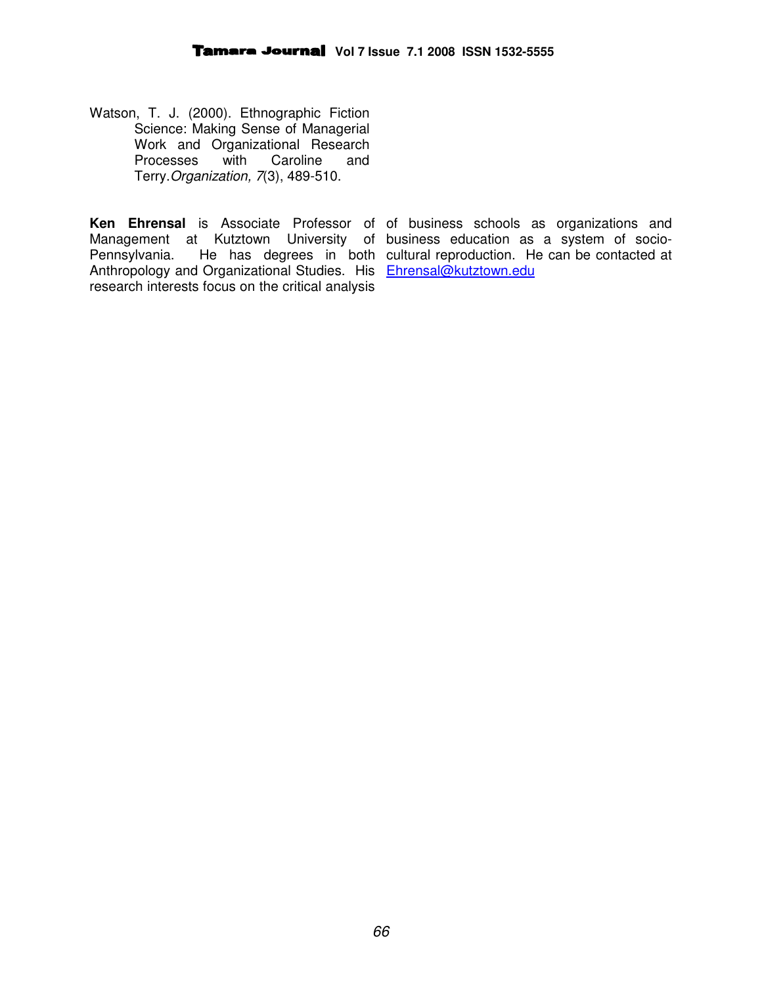Watson, T. J. (2000). Ethnographic Fiction Science: Making Sense of Managerial Work and Organizational Research<br>Processes with Caroline and Processes with Caroline Terry.Organization, 7(3), 489-510.

Management at Kutztown University of business education as a system of socio-Anthropology and Organizational Studies. His Ehrensal@kutztown.edu research interests focus on the critical analysis

Ken Ehrensal is Associate Professor of of business schools as organizations and Pennsylvania. He has degrees in both cultural reproduction. He can be contacted at